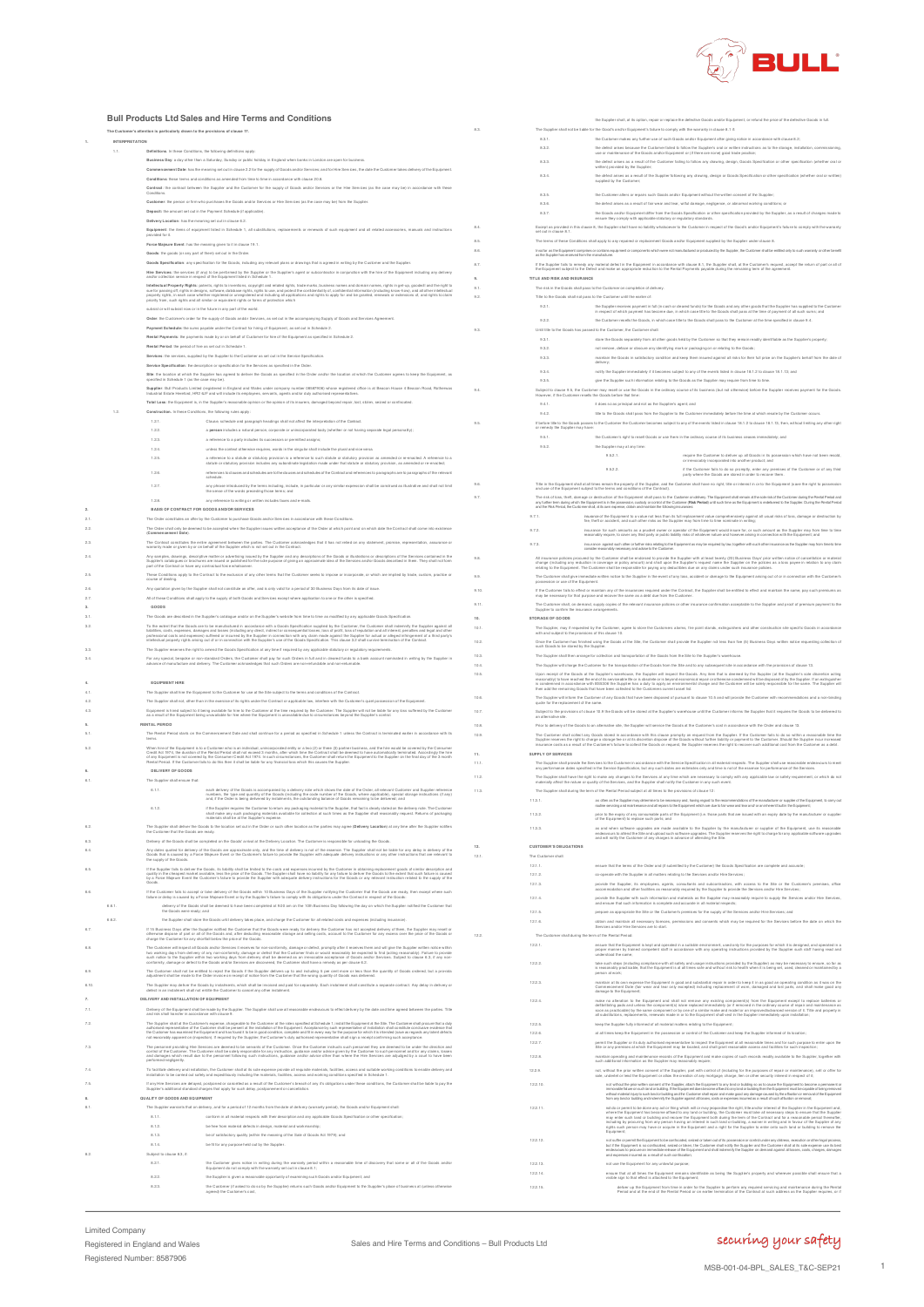

**Bull Products Ltd Sales and Hire Terms and Conditions The Customer's attention is particularly drawn to the provisions of clause 17. 1. INTERPRETATION** 1.1. **Definitions**. In these Conditions, the following definitions apply: **Business Day**: a day other than a Saturday, Sunday or public holiday in England when banks in London are open for business. Commencement Dake has two wearing with or make a street with order and the rivers that of the Sanner, the dake the Union method of the Equipment.<br>Conditions these terms and conditions as amended hom firms in the make the w **Customer:** the person or firm who purchases the Goods and/or Services or Hire Services (as the case may be) from the Supplier **Deposit:** the amount set out in the Payment Schedule (if applicable). **Delivery Location**: has the meaning set out in clause 6.2. .<br>Extra replacements or renewals of such equipment and all related accessories, manuals and in provided for it. Force Majeure Event: has the meaning given to it in clause 19.1.<br>Goods : the goods (or any part of them) set out in the Order.<br>Goods Specification: any specification for the Goods, including any relevant plans or drawings Hire Services: the services (if any) to be performed by the Suppliers agent or subcontractor in conjunction with the hire of the Equipment including any delivery<br>and/or collection service in sepect of the Equipment listed interfectual Property Replay, point in construction complete the least of the property and the state of the property of the state of the state of the state of the state of the state of the state of the state of the state o **Rental Payments**: the payments made by or on behalf of Customer for hire of the Equipment as specified in Schedule 2. **Rental Period**: the period of hire as set out in Schedule 1. **Services:** the services, supplied by the Supplier to the Customer as set out in the Service Specification<br>Renview Reverification: the description or snedification for the Services as snedifed in the Onlar Service Specification: the description or specification for the Sarvices as specified in the Order.<br>Site: the location at which the Substife thas agreed to deliver the Goods as specified in the Order and the flow the Custo Supplier: Bull Products Limited (registered in England and Wales under van many man bestrief of the second office is at Beacon House 4 Beacon Road, Rotherwas<br>Industrial Estate Hereford, HR2 6JF and will include its employe **Total Loss**: the Equipment is, in the Supplier's reasonable opinion or the opinion of its insurers, damaged beyond repair, lost, stolen, seized or **Construction.** In these Conditions, the following rules apply:<br>1.2.1. Clause, schedule and para 1.2.1. Clause, schedule and paragraph headings shall not affect the interpretation of the Contract.<br>1.2.2. **a person** includes a natural person, concorate or unincomorated body (whether or root has 1.2.2. a **person** includes a natural person, corporate or unincorporated body (whether or not having separate legal personality); 1.2.3. a reference to a party includes its successors or permitted assigns; 1.2.4. unless the context otherwise requires, words in the singular shall include the plural and vice versa. a reference to a statute or statutory provision is a reference to such statute or statutory provision as amended or re-enacted. A reference to a<br>statute or statutory provision includes any subordinate legislation made unde 1.2.6. references to clauses and schedules are to the clauses and schedules of the Contract and references to paragraphs are to paragraphs of the relevant schedule. 1.2.7. any phrase introduced by the terms including, include, in particular or any similar expression shall be construed as illustrative and shall not limit the sense of the words preceding those terms; and 1.2.8. any reference to writing or written includes faxes and e-mails. **2. BASIS OF CONTRACT FOR GOODS AND/OR SERVICES** 2.1. The Order constitutes an offer by the Customer to purchase Goods and/or Services in accordance with these Conditions. 2.2. The Order shall only be deemed to be accepted when the Supplier issues written acceptance of the Order at which point and on which date the Contract shall come into existence (**Commencement Date**). The Contract constitute the artife agreement between the parties. The Customer acknowledges that it has not relied on any statement, promise, representation, assurance or<br>warranty made or given by or on behalf of the Suppl Any samples, drawings, descriptive matter or adverteing issued by the Supplier and any descriptions of the Goods or illustrations or descriptions of the Senifons of the Senifons of the Senifons of the Senifons of the Senif pan of the Contract or have any contractual force whatsoever.<br>These Conditions apply to the Contract to the exclusion of any other terms that the Customer seeks to impose or incorporate, or which are implied by trade, oxat course of meaning one by the Supplier shall not constitute an offer, and is only valid for a period of 30 Business Days from its date of is<br>Any quotation given by the Supplier shall not constitute and Services except where 2.<br>2. All ons shall apply to the supply of both Goods and Services except where application to one or the other is specified. **3. GOODS**<br> **3.1.** The Goods<br> **3.2.** To the exte The Goods are described in the Supplier's catalogue and/or on the Supplier's website from time to time as modified by any a . Si be away that in Goods are to be manufactural in a company contained a special procedure and interestly to<br>Institution of the company of the company of the supplier in contained in the company of the company of the sup For any special, beapoke or ron-standard Orders, the Customer shall pay for such Orders in tull and in cleaned funds to a bank account nominated in writing by the Supplier in<br>advance of manufacture and delivery. The Custo **4. EQUIPMENT HIRE** 4.1. The Supplier shall hire the Equipment to the Customer for use at the Site subject to the terms and conditions of the Contract. The Supplier shall not, other than in the exercise of its rights under the Contract or applicable law, interfere with the Customer's quiet possession of the Equipment.<br>Equipment is hired subject to it being swallable to hi **5. RENTAL PERIOD** 5.1. The Rental Period starts on the Commencement Date and shall continue for a period as specified in Schedule 1 unless the Contract is terminated earlier in accordance with its terms. When her disciplines its is Constant Work an individual unitary procedure in the state of the process of the formulation of the Constant Constant Constant Constant Constant Constant Constant Constant Constant Constant Cons each delivery of the Goods is accompanied by a delivery note which shows the date of the Onder, all relevant Customer and Supplier reference<br>rurribers, the type and quantity of the Goods (including the code number of the G if the Supplier requires the Customer to return any packaging material to the Supplier, that fact is clearly stated on the delivery note. The Customer<br>shall make any such packaging materials available for collection at suc The Supplier shall deliver the Goods se makerial be at the Supplier's expense.<br>The Customer that the Goods are ready.<br>The Customer that the Goods are ready. 6.3. Delivery of the Goods shall be completed on the Goods' arrival at the Delivery Location. The Customer is responsible for unloading the Goods. Any dates quoted for delivery of the Goods are approximate only, and the time of delivery is not of the essence. The Supplier shall not be fable for any dataly in delivery of the<br>Goods that is caused by a Force Majeure Eve the Suppler labs of elever the Goods, its lability shell be limited to the costs and expenses incurred by the Customent in obtaining replacement poods of similar description and<br>Lability in the chaspes marked available, la If the St.<br>quality is<br>by a Fo If the Customer falls to accept or take delivery of the Coods within 10 Business Days of the Supplier notifying the Customer that the Goods are ready, then except where such<br>falure or delay is caused by a Force Majoure Eve 6.6.1. delivery of the Goods shall be deemed to have been completed at 9.00 am on the 10th Business Day following the day on which the Supplier notified the Customer that the Goods were ready; and 6.6.2. the Supplier shall store the Goods until delivery takes place, and charge the Customer for all related costs and expenses (including insurance). If 15 Business Days after the Supplier rotified the Customer that the Goods were ready for delivery the Customer has not accepted delivery of them, the Supplier may real or<br>otherwise dispose of partic all of the Goods and, ת המשפחה של השקעה של המשפחה של המשפחה של המשפחה של השפחה של המשפחה של המשפחה של המשפחה של השפחה של השפחה של המ<br>האחרונה של השפחה של השפחה של המשפחה של המשפחה של השפחה של השפחה של השפחה של השפחה של השפחה של השפחה של השפחה 6.10. The Supplier may delive the Goods by instalments, which shall be involced and paid for separately. Each instalment shall constitute a separate contract. Any delay in delivery or<br>delact in an instalment shall not enti **7. DELIVERY AND INSTALLATION OF EQUIPMENT** 7.1. Dalivery of the Equipment shall be made by the Supplier. The Supplier shall use all reasonable endeavours to effect delivery by the date and time agreed between the parties. Title<br>and risk shall transfer in accordance The Supplier shill at the Customers separas, dragonally to the David Company of the Supplier of the Suppliers of the Markowskie and the Customers of the Customers of the Customers of the Customers of the Customers of the C The personnal providing Hire Services are deemed to be servants of the Customer. Once the Customer Instructs such personnel they are deemed to be under the direction and<br>Control of the Customer The Customer Islam and the s performed negligently. To facilate delvery and installation, the Customer shall at its acle expense provide all requisitions material and into the stocket and substantial interval of the Shall and the Shall of the Shall and the Shall and the int 7.5. If any Hire Services are delayed, postponed or cancelled as a result of the Customer's breach of any it's obligations under these conditions, the Customer shall be liable to pay the Supplier's additional standard charges that apply for such delay, postponement or cancellation. **8. QUALITY OF GOODS AND EQUIPMENT** The Supplier warrants that on delivery, and 8.1.1. conform in all material respects with their description and any applicable Goods Specification or other specification; 8.1.2. be free from material defects in design, material and workmanship; 8.1.3.<br>B.1.3. be of satisfactory quality (within the meaning of the Sale of Goods Act 1979); and<br>A 1.4. he fit for any nunneal held nut hu the Sunnier 8.1.4. be fit for any purpose held out by the Supplier. 8.2. Subject to clause 8.3, if: 8.2.1. the Customer gives notice in writing during the warranty period within a reasonable time of discovery that some or all of the Goods and/or Equipment do not comply with the warranty set out in clause 8.1; 8.2.2. the Supplier is given a reasonable opportunity of examining such Goods and/or Equipment; and be Southern that all plays that is decision, upper or register the definition Goods and/or European critical the plane of the definition of the Southern Company of the Southern Company of the U.S.<br>19.1. B.1. The Goods of t 8.3.3. the defect arises as a result of the Customer failing to follow any drawing, design, Goods Specification or other specification (whether oral or<br>written) provided by the Supplier; 8.3.4. the defect arises as a result of the Supplier following any drawing, design or Goods Specification or other specification (whether oral or written) supplied by the Customer; 8.3.5. the Customer alters or repairs such Goods and/or Equipment without the written consent of the Supplier; the defect arises as a result of fair wear and tear, with damage, negligence, or abnormal working conditions; or<br>the Goods and/or. Equipment offer from the Goods Specification or other specification provided by the Suppler except as provided in this clause 8, the Supplier shall have no liability whatsoever to the Customer in respect of the Good's and/or Equipment's failure to the Customer in respect of the Good's and/or Equipment's failure t Except as provided<br>set out in clause 8. 8.5. The terms of these Conditions shall apply to any repaired or replacement Goods and/or Equipment supplied by the Supplier under clause 8. .<br>8. Instructure components which were not manufactured or produced by the Supplier, the Customer shall be entitled only to s Insofar as the Equi f the Suppler fails to smach any material defect in the Equipment in accordance with clause 8.1, the Suppler shall, at the Customer's squest, accept the return of part or all of<br>the Equipment subject to the Dafect and make **9. TITLE AND RISK AND INSURANCE** 9.1. The risk in the Goods shall pass to the Customer on completion of delivery. 9.1. The risk in the Goods shall pass to the Customer on completion of different control of the Goods shall not pass to the Customer until the earlier of: the Supplier receives payment in full (in cash or cleared funds) for the Goods and any other goods that the Supplier has supplied to the Customer<br>In respect of which payment has become due, in which case title to the Goods 9.2.2. the Customer resells the Goods, in which case title to the Goods shall pass to the Customer at the time specified in clause 9.4. Until the to the Oceanism of the Customer , the Counterwishell.<br>19.1. state the Oceanism specified the all debt goods held by the Customer so that they wenin readily identifiable as the Supplier's property;<br>19.3. state the 9.3.4. notify the Supplier immediately if it becomes subject to any of the events listed in clause 18.1.2 to clause 18.1.13; and 9.3.5.<br>Subject to dawse 9.5, the Custmer may reash to reach docosi in the ordinary course of the business pure from time to time.<br>However, if the Customer reades the Goods before that time: 9.4.1. it does so as principal and not as the Supplier's agent; and<br>9.4.2. If the Steel Scools shall pass from the Supplier to the Custom 9.42.<br>Blue to the Goods shall pass form the Supplier to the Customer immediately before the time at which resale by the Customer occurs.<br>If before title to docds passes to the Customer the Customer becomes subject to any o If before the 9.5.1. the Customer's right to resell Goods or use them in the ordinary course of its business ceases immediately; and 9.5.2. the Supplier may at any time: 9.5.2.1. require the Customer to deliver up all Goods in its possession which have not been resold, or irrevocably incorporated into another product; and 9.5.2.2. if the Customer fails to do so promptly, enter any premises of the Customer or of any third party where the Goods are stored in order to recover them. 9.6. Title in the Equipment shall at all times armain the proparty of the Cupiker, and the Customer shall have no right, title or interest in or to the Equipment (save the right to possession<br>and use of the Equipment subje The risk of loss, thelt, damage or destruction of the Equipment shall pass to the Custome on delivery. The Equipment shall reminist atthe sclerish end and the schedule and the state and the state and the state and the stat insusnes of the Equipment to a value not less than its full replacement value comprehensively against all usual risks of loss, damage or destruction by<br>fire, the to recident, and such other isks as the Supplier may from ti insurance for such amounts as a prudent cener or operabre of the Equipment would insure for, our sum armount as the Suppler may from free to time<br>In asconsity require, to cover any third party or public liability risks of insurance against such other or further risks relating to the Equipment as may be required by law, together with such other insurance as the Supplier may from time to time<br>consider reasonably necessary and advise to the Cu All insurance policies procured by the Customer shall be endorsed to provide the Supplier with at least termly (20) Business Days' prior wilten notice of cancellation or material<br>change (industria) any reduction in coverag 9.9. The Customer shall give immediate written notice to the Supplier in the event of any loss, accident or damage to the Equipment arising out of or in connection with the Customer's possession or use of the Equipment. f the Customer fails to effect or maintain any of the insurances required under the Contact, the Supplier shall be entited to effect and maintain the same, pay such premiums as<br>may be necessary for that purpose and recover 9.11. The Customer shall, on demand, supply copies of the relevant insurance policies or other insurance confirmation acceptable to the Supplier and proof of premium pay The Customer shall, on demand, supply copies 10. **STORAGE OF GOODS**<br>10.1. **The Supplier, may** The Supplier, may if requested by the Customer, agree to store the Customers alarms, fire point with and subject to the provisions of this clause 10. with and subject to the provisions of this clause 10.<br>Once the Customer has finished using the Oceds at the Site, the Customer shall provide the Supplier not less than five (5) Business Days written refice requesting colle 10.3.<br>10.4. The Supplier shall then arrange for collection and transportation of the Goods from the Site to the Sup<br>10.5. The Supplier will choose at the Supplier's warehouse, the Supplier will inspect the Goods. Any liter on a byzar al compare to the manufacture that Gods them to Save and the state of the providence of the state of<br>Normal Comparation of the Comparation of the Comparation of the Comparation of the Comparation of the Scylin's 10.6. The Supplier will inform the Customer of any Goods that have been disposed of pursuant to clause 10.5 and will provide the Customer with recommendations and a non-binding quote for the replacement of the same. 10.7. Subject to the provisions of clause 10.9 the Goods will be stored at the Supplier's warehouse until the Customer informs the Supplier that it requires the Goods to be delivered to an alternative site. 10.8. Prior to delivery of the Goods to an alternative site, the Supplier will service the Goods at the Customer's cost in accordance with the Order and clause 13. The Customershall collect any Goods stoned in accordance with this dause prompty on request from the Supplier. If the Customer fals to do so within a reasonable time the<br>Supplier reasons the right to charge a stonege Marce **11. SUPPLY OF SERVICES** The Supplier shall provide any performance dates specified in the Service Specification, but any such dates are estimates only and time is not of the essence for performance of the Services The Supplier shall have the right to make any changes to the Services at any time which are necessary to corn ply with any applicable law or safety requirement, or which do not<br>materially affect the nature or quality of th 11.3. The Supplier shall during the term of the Rental Period subject at all times to the provisions of clause 12: as often as the Supplier may determine to be necessary and, having regard to the necommendations of the manufacturer or supplier of the Equipment, to carry our<br>routine servicing and maintenance and all repairs to the Equip 11.3.2.<br>of the Equipment) to replace such parts; and<br> as and when software upgrades are made available to the Supplier by the manufacturer or supplier of the Equipment, use its reasonable<br>endeavours to attand the Site and upbsat such software upgrades. The Supplier reserves t **12. CUSTOMER'S OBLIGATIONS** 12.1. The Customer shall: 12.1.1.<br>12.1.1. ensure that the terms of the Order and (if submitted by the Customer) the Goods Specification are complete and accurate; 12.1.2.<br>12.1.2. co-operate with the Supplier in all matters relating to the Services and/or Hire Services;<br>12.1.3. povide the Supplier, its employees, agents, consultants and subcontractors, with provide the Supplier, its employees, agents, consultants and subcontractors, with access to the Ste or the Customer's premises, office<br>accommodation and other facilities as reasonably required by the Supplier to provide th 12.1.4.<br>provide the Stuppier with such information and materials as the Suppier may reasonably require to supply the Services,<br>and ensure that such information is complete and accurate in all material respects; 12.1.5. prepare as appropriate the Site or the Customer's premises for the supply of the Services and/or Hire Services; and 12.1.6.<br>Services and/or Hire Services are to start. permissions and consents which may be required for the Services before the date on which the 12.2. The Customer shall during the term of the Rental Period: ersure that the Equipment is lept and operated in a suitable environment, used only for the purposes for which it is designed, and operated in a<br>proper manner by trained competent staff in accordance with any operating ins take such steps (including compliance with all stafe) and usage instructions provided by the Supplier) as may be necessary to ensure, so far as<br>It reasonably practicable, that the Equipment is at all times safe and without person at work;<br>maintain at its own expanse the Equipment in good and substantial repair in order to keep it in as good an operating condition as it was on the<br>Commencement Date (flar wear and tear only excepted) including demays to the Equipment, and shull not menow any exhibit componently form the Equipment except to register batteries or<br>make to alterate the figures and appropriate the state of the componently form the Equipment except o permit the Supplier or its duly authorised representative to inspect the Equipment at all reasonable times and for such purpose to enter upon the<br>Site or any premises at which the Equipment may be located, and shall grant 12.2.8. maintain operating and maintenance records of the Equipment and make copies of such records readily available to the Supplier, together with such additional information as the Supplier may reasonably require; not, without the prior written consent of the Supplier, part with control of (including for the purposes of repair or maintenance), sell or offer for<br>sele, underlet or lend the Equipment or allow the creation of any mortga not whout the prior without count of the Daptine, study to the Daptimest buy land of the Dauble of the Equipment obscome a permanent of the Daptine interaction of the United States in<br>Who contained in the protocol and the כאל אותה של המשפח המשפח המשפח המשפח המשפח המשפח המשפח המשפח המשפח המשפח המשפח המשפח המשפח המשפח המשפח המשפח המ<br>אותה המשפח המשפח היא משפח המשפח המשפח המשפח המשפח המשפח המשפח המשפח המשפח המשפח המשפח המשפח המשפח המשפח המשפח<br> not sulfier opermith elEsplemento.becombased, size ad ruisien ad dis possesion control unier any idense, emociative orien legal room.<br>Until the Equipment is so confeceded, seleed or taken, the Customer shall nodly the Dupp 12.2.13. not use the Equipment for any unlawful purpose; 12.2.14. ensure that at all times the Equipment semains identifiable as being the Supplier's property and wherever possible shall ensure that a<br>visible sign to that effect is attached to the Equipment;

8.2.3. the Customer (if asked to do so by the Supplier) returns such Goods and/or Equipment to the Supplier's place of business at (unless otherwise agreed) the Customer's cost,

## securing your safety

deliver up the Equipment from time in order for the Supplier to perform any required servicing and maintenance during the Rental<br>Period and at the end of the Rental Period or on earlier termination of the Contract at such

1